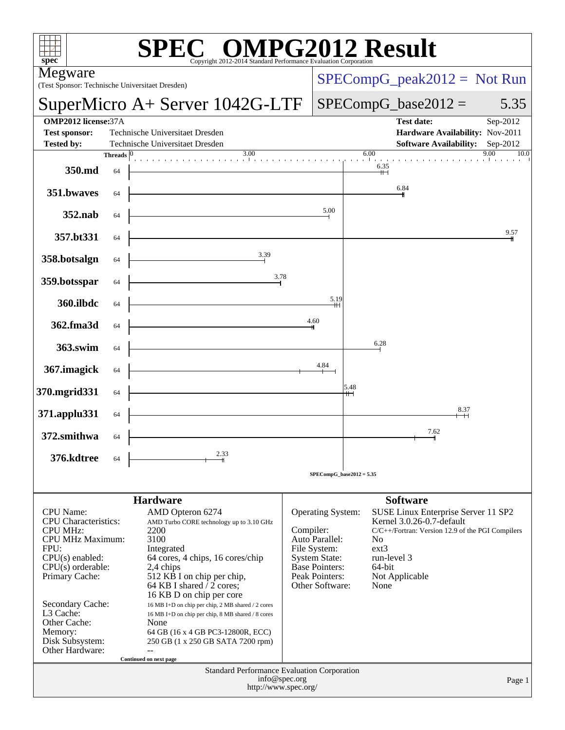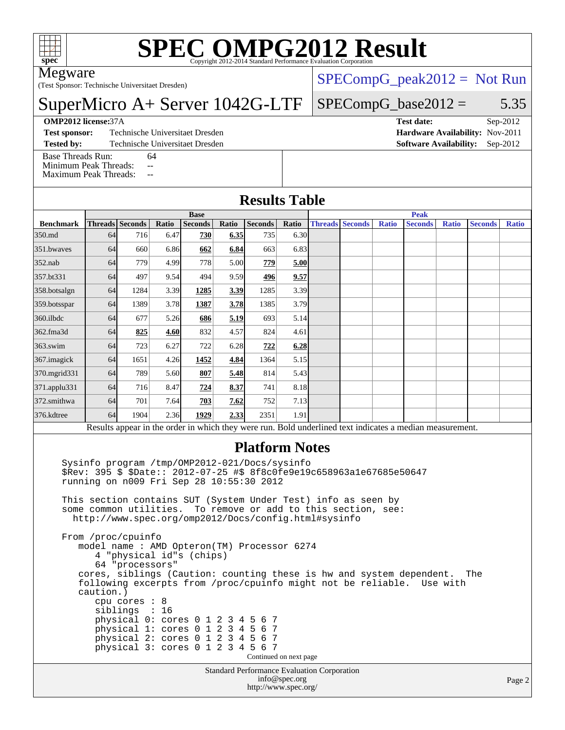

# **[SPEC OMPG2012 Result](http://www.spec.org/auto/omp2012/Docs/result-fields.html#SPECOMPG2012Result)**

Megware

(Test Sponsor: Technische Universitaet Dresden)

SuperMicro A+ Server 1042G-LTF

 $SPECompG_peak2012 = Not Run$  $SPECompG_peak2012 = Not Run$ 

#### $SPECompG_base2012 = 5.35$  $SPECompG_base2012 = 5.35$

[Base Threads Run:](http://www.spec.org/auto/omp2012/Docs/result-fields.html#BaseThreadsRun) 64 [Minimum Peak Threads:](http://www.spec.org/auto/omp2012/Docs/result-fields.html#MinimumPeakThreads) --

[Maximum Peak Threads:](http://www.spec.org/auto/omp2012/Docs/result-fields.html#MaximumPeakThreads) --

| <b>OMP2012 license:37A</b> |                                 | Test date:                             | $Sep-2012$ |  |
|----------------------------|---------------------------------|----------------------------------------|------------|--|
| <b>Test sponsor:</b>       | Technische Universitaet Dresden | <b>Hardware Availability: Nov-2011</b> |            |  |
| <b>Tested by:</b>          | Technische Universitaet Dresden | <b>Software Availability:</b> Sep-2012 |            |  |

### **[Results Table](http://www.spec.org/auto/omp2012/Docs/result-fields.html#ResultsTable)**

|                                                                                                          | <b>Base</b> |                 |       |                |       |                | <b>Peak</b> |  |                        |              |                |              |                |              |
|----------------------------------------------------------------------------------------------------------|-------------|-----------------|-------|----------------|-------|----------------|-------------|--|------------------------|--------------|----------------|--------------|----------------|--------------|
| <b>Benchmark</b>                                                                                         |             | Threads Seconds | Ratio | <b>Seconds</b> | Ratio | <b>Seconds</b> | Ratio       |  | <b>Threads Seconds</b> | <b>Ratio</b> | <b>Seconds</b> | <b>Ratio</b> | <b>Seconds</b> | <b>Ratio</b> |
| 350.md                                                                                                   | 64          | 716             | 6.47  | 730            | 6.35  | 735            | 6.30        |  |                        |              |                |              |                |              |
| 351.bwaves                                                                                               | 64          | 660             | 6.86  | 662            | 6.84  | 663            | 6.83        |  |                        |              |                |              |                |              |
| $352$ .nab                                                                                               | 64          | 779             | 4.99  | 778            | 5.00  | 779            | 5.00        |  |                        |              |                |              |                |              |
| 357.bt331                                                                                                | 64          | 497             | 9.54  | 494            | 9.59  | 496            | 9.57        |  |                        |              |                |              |                |              |
| 358.botsalgn                                                                                             | 64          | 1284            | 3.39  | 1285           | 3.39  | 1285           | 3.39        |  |                        |              |                |              |                |              |
| 359.botsspar                                                                                             | 64          | 1389            | 3.78  | 1387           | 3.78  | 1385           | 3.79        |  |                        |              |                |              |                |              |
| $360$ .ilbdc                                                                                             | 64          | 677             | 5.26  | 686            | 5.19  | 693            | 5.14        |  |                        |              |                |              |                |              |
| 362.fma3d                                                                                                | 64          | 825             | 4.60  | 832            | 4.57  | 824            | 4.61        |  |                        |              |                |              |                |              |
| $363$ .swim                                                                                              | 64          | 723             | 6.27  | 722            | 6.28  | 722            | 6.28        |  |                        |              |                |              |                |              |
| 367.imagick                                                                                              | 64          | 1651            | 4.26  | 1452           | 4.84  | 1364           | 5.15        |  |                        |              |                |              |                |              |
| 370.mgrid331                                                                                             | 64          | 789             | 5.60  | 807            | 5.48  | 814            | 5.43        |  |                        |              |                |              |                |              |
| 371.applu331                                                                                             | 64          | 716             | 8.47  | 724            | 8.37  | 741            | 8.18        |  |                        |              |                |              |                |              |
| 372.smithwa                                                                                              | 64          | 701             | 7.64  | 703            | 7.62  | 752            | 7.13        |  |                        |              |                |              |                |              |
| 376.kdtree                                                                                               | 64          | 1904            | 2.36  | 1929           | 2.33  | 2351           | 1.91        |  |                        |              |                |              |                |              |
| Results appear in the order in which they were run. Bold underlined text indicates a median measurement. |             |                 |       |                |       |                |             |  |                        |              |                |              |                |              |

#### **[Platform Notes](http://www.spec.org/auto/omp2012/Docs/result-fields.html#PlatformNotes)**

 Sysinfo program /tmp/OMP2012-021/Docs/sysinfo \$Rev: 395 \$ \$Date:: 2012-07-25 #\$ 8f8c0fe9e19c658963a1e67685e50647 running on n009 Fri Sep 28 10:55:30 2012

 This section contains SUT (System Under Test) info as seen by some common utilities. To remove or add to this section, see: <http://www.spec.org/omp2012/Docs/config.html#sysinfo>

 From /proc/cpuinfo model name : AMD Opteron(TM) Processor 6274 4 "physical id"s (chips) 64 "processors" cores, siblings (Caution: counting these is hw and system dependent. The following excerpts from /proc/cpuinfo might not be reliable. Use with caution.) cpu cores : 8 siblings : 16 physical 0: cores 0 1 2 3 4 5 6 7 physical 1: cores 0 1 2 3 4 5 6 7 physical 2: cores 0 1 2 3 4 5 6 7 physical 3: cores 0 1 2 3 4 5 6 7 Continued on next page

Standard Performance Evaluation Corporation [info@spec.org](mailto:info@spec.org) <http://www.spec.org/>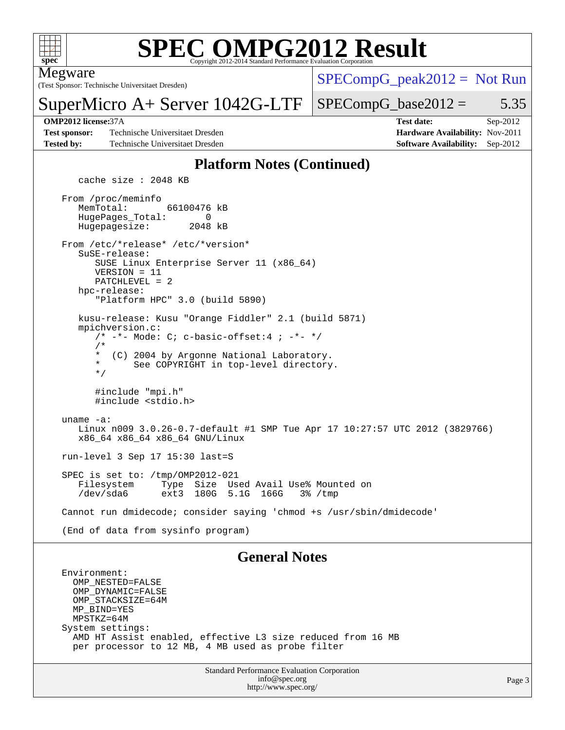

#### **[SPEC OMPG2012 Result](http://www.spec.org/auto/omp2012/Docs/result-fields.html#SPECOMPG2012Result)** Copyright 2012-2014 Standard Performance Evaluation Corpora

Megware

(Test Sponsor: Technische Universitaet Dresden)

 $SPECompG_peak2012 = Not Run$  $SPECompG_peak2012 = Not Run$ 

### $SPECompG_base2012 = 5.35$  $SPECompG_base2012 = 5.35$

**[Test sponsor:](http://www.spec.org/auto/omp2012/Docs/result-fields.html#Testsponsor)** Technische Universitaet Dresden **[Hardware Availability:](http://www.spec.org/auto/omp2012/Docs/result-fields.html#HardwareAvailability)** Nov-2011 **[Tested by:](http://www.spec.org/auto/omp2012/Docs/result-fields.html#Testedby)** Technische Universitaet Dresden **[Software Availability:](http://www.spec.org/auto/omp2012/Docs/result-fields.html#SoftwareAvailability)** Sep-2012

SuperMicro A+ Server 1042G-LTF

**[OMP2012 license:](http://www.spec.org/auto/omp2012/Docs/result-fields.html#OMP2012license)**37A **[Test date:](http://www.spec.org/auto/omp2012/Docs/result-fields.html#Testdate)** Sep-2012

### **[Platform Notes \(Continued\)](http://www.spec.org/auto/omp2012/Docs/result-fields.html#PlatformNotes)**

cache size : 2048 KB

 From /proc/meminfo MemTotal: 66100476 kB HugePages\_Total: 0<br>Hugepagesize: 2048 kB Hugepagesize: From /etc/\*release\* /etc/\*version\* SuSE-release: SUSE Linux Enterprise Server 11 (x86\_64) VERSION = 11 PATCHLEVEL = 2 hpc-release: "Platform HPC" 3.0 (build 5890) kusu-release: Kusu "Orange Fiddler" 2.1 (build 5871) mpichversion.c:  $/* -* -$  Mode: C; c-basic-offset:4 ;  $-*-*/$  $/$ \* \* (C) 2004 by Argonne National Laboratory. See COPYRIGHT in top-level directory. \*/ #include "mpi.h" #include <stdio.h> uname -a: Linux n009 3.0.26-0.7-default #1 SMP Tue Apr 17 10:27:57 UTC 2012 (3829766) x86\_64 x86\_64 x86\_64 GNU/Linux run-level 3 Sep 17 15:30 last=S SPEC is set to: /tmp/OMP2012-021<br>Filesystem Type Size Us Type Size Used Avail Use% Mounted on /dev/sda6 ext3 180G 5.1G 166G 3% /tmp Cannot run dmidecode; consider saying 'chmod +s /usr/sbin/dmidecode' (End of data from sysinfo program) **[General Notes](http://www.spec.org/auto/omp2012/Docs/result-fields.html#GeneralNotes)** Environment:

 OMP\_NESTED=FALSE OMP\_DYNAMIC=FALSE OMP\_STACKSIZE=64M MP\_BIND=YES MPSTKZ=64M System settings: AMD HT Assist enabled, effective L3 size reduced from 16 MB per processor to 12 MB, 4 MB used as probe filter

> Standard Performance Evaluation Corporation [info@spec.org](mailto:info@spec.org) <http://www.spec.org/>